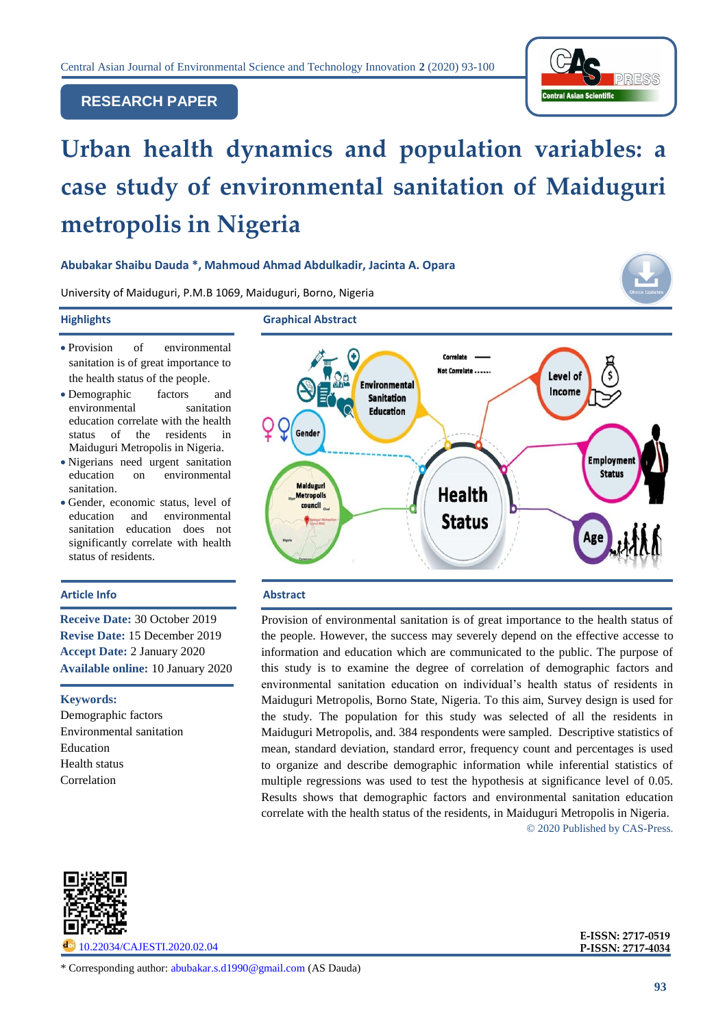

# **RESEARCH PAPER**

# **Urban health dynamics and population variables: a case study of environmental sanitation of Maiduguri metropolis in Nigeria**

## **Abubakar Shaibu Dauda \*, Mahmoud Ahmad Abdulkadir, Jacinta A. Opara**

University of Maiduguri, P.M.B 1069, Maiduguri, Borno, Nigeria

**Highlights Graphical Abstract**

- Provision of environmental sanitation is of great importance to the health status of the people.
- Demographic factors and environmental sanitation education correlate with the health status of the residents in Maiduguri Metropolis in Nigeria.
- Nigerians need urgent sanitation education on environmental sanitation.
- Gender, economic status, level of education and environmental sanitation education does not significantly correlate with health status of residents.

## **Article Info Abstract**

**Receive Date:** 30 October 2019 **Revise Date:** 15 December 2019 **Accept Date:** 2 January 2020 **Available online:** 10 January 2020

#### **Keywords:**

Demographic factors Environmental sanitation Education Health status Correlation



Provision of environmental sanitation is of great importance to the health status of the people. However, the success may severely depend on the effective accesse to information and education which are communicated to the public. The purpose of this study is to examine the degree of correlation of demographic factors and environmental sanitation education on individual's health status of residents in Maiduguri Metropolis, Borno State, Nigeria. To this aim, Survey design is used for the study. The population for this study was selected of all the residents in Maiduguri Metropolis, and. 384 respondents were sampled. Descriptive statistics of mean, standard deviation, standard error, frequency count and percentages is used to organize and describe demographic information while inferential statistics of multiple regressions was used to test the hypothesis at significance level of 0.05. Results shows that demographic factors and environmental sanitation education correlate with the health status of the residents, in Maiduguri Metropolis in Nigeria. © 2020 Published by CAS-Press.



[10.22034/CAJESTI.2020.02.04](http://www.cas-press.com/article_102585.html)

 **P-ISSN: 2717-4034E-ISSN: 2717-0519**

\* Corresponding author: [abubakar.s.d1990@gmail.com](mailto:abubakar.s.d1990@gmail.com) (AS Dauda)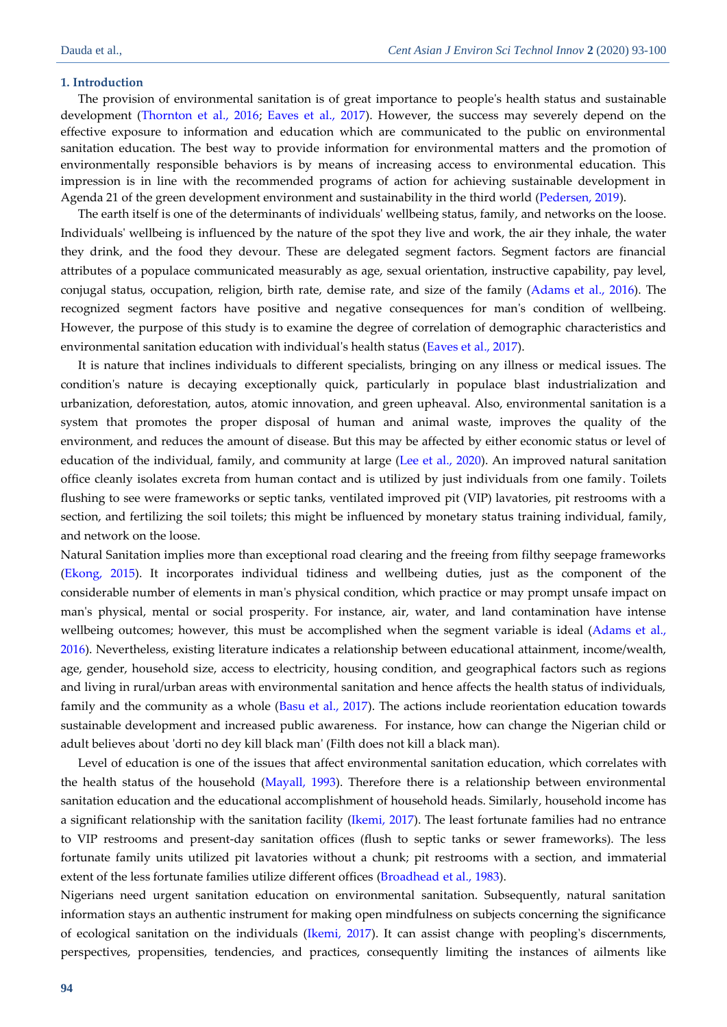#### **1. Introduction**

The provision of environmental sanitation is of great importance to people's health status and sustainable development (Thornton et al., 2016; [Eaves et al., 2017\)](#page-6-0). However, the success may severely depend on the effective exposure to information and education which are communicated to the public on environmental sanitation education. The best way to provide information for environmental matters and the promotion of environmentally responsible behaviors is by means of increasing access to environmental education. This impression is in line with the recommended programs of action for achieving sustainable development in Agenda 21 of the green development environment and sustainability in the third world [\(Pedersen, 2019\)](#page-6-1).

The earth itself is one of the determinants of individuals' wellbeing status, family, and networks on the loose. Individuals' wellbeing is influenced by the nature of the spot they live and work, the air they inhale, the water they drink, and the food they devour. These are delegated segment factors. Segment factors are financial attributes of a populace communicated measurably as age, sexual orientation, instructive capability, pay level, conjugal status, occupation, religion, birth rate, demise rate, and size of the family [\(Adams et al., 2016\)](#page-6-2). The recognized segment factors have positive and negative consequences for man's condition of wellbeing. However, the purpose of this study is to examine the degree of correlation of demographic characteristics and environmental sanitation education with individual's health status [\(Eaves et al., 2017\)](#page-6-0).

It is nature that inclines individuals to different specialists, bringing on any illness or medical issues. The condition's nature is decaying exceptionally quick, particularly in populace blast industrialization and urbanization, deforestation, autos, atomic innovation, and green upheaval. Also, environmental sanitation is a system that promotes the proper disposal of human and animal waste, improves the quality of the environment, and reduces the amount of disease. But this may be affected by either economic status or level of education of the individual, family, and community at large [\(Lee et al., 2020\)](#page-6-3). An improved natural sanitation office cleanly isolates excreta from human contact and is utilized by just individuals from one family. Toilets flushing to see were frameworks or septic tanks, ventilated improved pit (VIP) lavatories, pit restrooms with a section, and fertilizing the soil toilets; this might be influenced by monetary status training individual, family, and network on the loose.

Natural Sanitation implies more than exceptional road clearing and the freeing from filthy seepage frameworks [\(Ekong, 2015\)](#page-6-4). It incorporates individual tidiness and wellbeing duties, just as the component of the considerable number of elements in man's physical condition, which practice or may prompt unsafe impact on man's physical, mental or social prosperity. For instance, air, water, and land contamination have intense wellbeing outcomes; however, this must be accomplished when the segment variable is ideal (Adams et al., [2016\)](#page-6-2). Nevertheless, existing literature indicates a relationship between educational attainment, income/wealth, age, gender, household size, access to electricity, housing condition, and geographical factors such as regions and living in rural/urban areas with environmental sanitation and hence affects the health status of individuals, family and the community as a whole [\(Basu et al., 2017\)](#page-6-5). The actions include reorientation education towards sustainable development and increased public awareness. For instance, how can change the Nigerian child or adult believes about 'dorti no dey kill black man' (Filth does not kill a black man).

Level of education is one of the issues that affect environmental sanitation education, which correlates with the health status of the household [\(Mayall, 1993\)](#page-6-6). Therefore there is a relationship between environmental sanitation education and the educational accomplishment of household heads. Similarly, household income has a significant relationship with the sanitation facility [\(Ikemi, 2017\)](#page-6-7). The least fortunate families had no entrance to VIP restrooms and present-day sanitation offices (flush to septic tanks or sewer frameworks). The less fortunate family units utilized pit lavatories without a chunk; pit restrooms with a section, and immaterial extent of the less fortunate families utilize different offices [\(Broadhead](#page-6-8) et al., 1983).

Nigerians need urgent sanitation education on environmental sanitation. Subsequently, natural sanitation information stays an authentic instrument for making open mindfulness on subjects concerning the significance of ecological sanitation on the individuals [\(Ikemi, 2017\)](#page-6-7). It can assist change with peopling's discernments, perspectives, propensities, tendencies, and practices, consequently limiting the instances of ailments like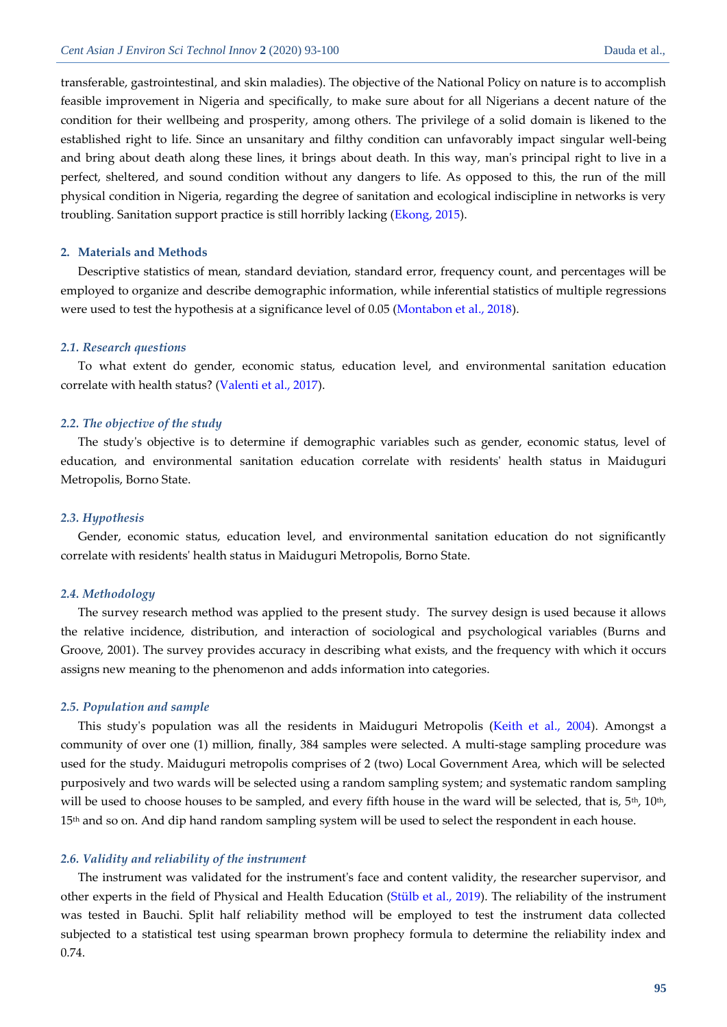transferable, gastrointestinal, and skin maladies). The objective of the National Policy on nature is to accomplish feasible improvement in Nigeria and specifically, to make sure about for all Nigerians a decent nature of the condition for their wellbeing and prosperity, among others. The privilege of a solid domain is likened to the established right to life. Since an unsanitary and filthy condition can unfavorably impact singular well-being and bring about death along these lines, it brings about death. In this way, man's principal right to live in a perfect, sheltered, and sound condition without any dangers to life. As opposed to this, the run of the mill physical condition in Nigeria, regarding the degree of sanitation and ecological indiscipline in networks is very troubling. Sanitation support practice is still horribly lacking [\(Ekong, 2015\)](#page-6-4).

#### **2. Materials and Methods**

Descriptive statistics of mean, standard deviation, standard error, frequency count, and percentages will be employed to organize and describe demographic information, while inferential statistics of multiple regressions were used to test the hypothesis at a significance level of 0.05 [\(Montabon et al., 2018\)](#page-6-9).

#### *2.1. Research questions*

To what extent do gender, economic status, education level, and environmental sanitation education correlate with health status? [\(Valenti et al., 2017\)](#page-7-0).

#### *2.2. The objective of the study*

The study's objective is to determine if demographic variables such as gender, economic status, level of education, and environmental sanitation education correlate with residents' health status in Maiduguri Metropolis, Borno State.

#### *2.3. Hypothesis*

Gender, economic status, education level, and environmental sanitation education do not significantly correlate with residents' health status in Maiduguri Metropolis, Borno State.

#### *2.4. Methodology*

The survey research method was applied to the present study. The survey design is used because it allows the relative incidence, distribution, and interaction of sociological and psychological variables (Burns and Groove, 2001). The survey provides accuracy in describing what exists, and the frequency with which it occurs assigns new meaning to the phenomenon and adds information into categories.

#### *2.5. Population and sample*

This study's population was all the residents in Maiduguri Metropolis [\(Keith et al., 2004\)](#page-6-10). Amongst a community of over one (1) million, finally, 384 samples were selected. A multi-stage sampling procedure was used for the study. Maiduguri metropolis comprises of 2 (two) Local Government Area, which will be selected purposively and two wards will be selected using a random sampling system; and systematic random sampling will be used to choose houses to be sampled, and every fifth house in the ward will be selected, that is, 5<sup>th</sup>, 10<sup>th</sup>, 15<sup>th</sup> and so on. And dip hand random sampling system will be used to select the respondent in each house.

#### *2.6. Validity and reliability of the instrument*

The instrument was validated for the instrument's face and content validity, the researcher supervisor, and other experts in the field of Physical and Health Education [\(Stülb et al., 2019\)](#page-6-11). The reliability of the instrument was tested in Bauchi. Split half reliability method will be employed to test the instrument data collected subjected to a statistical test using spearman brown prophecy formula to determine the reliability index and 0.74.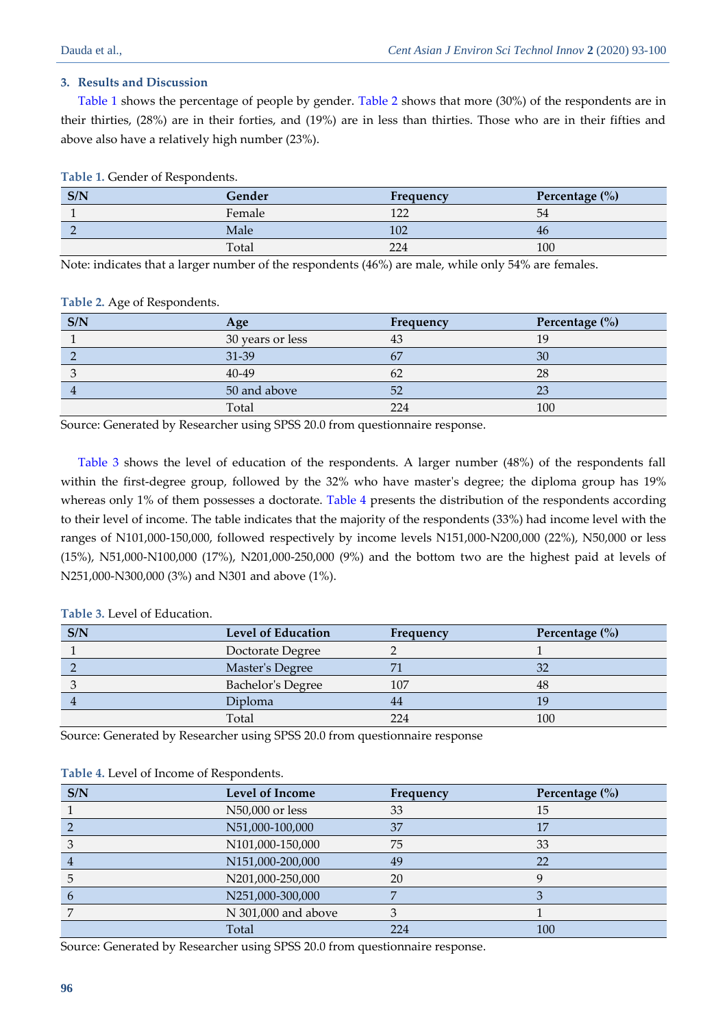# **3. Results and Discussion**

<span id="page-3-0"></span>[Table 1](#page-3-0) shows the percentage of people by gender. [Table 2](#page-3-1) shows that more (30%) of the respondents are in their thirties, (28%) are in their forties, and (19%) are in less than thirties. Those who are in their fifties and above also have a relatively high number (23%).

**Table 1.** Gender of Respondents.

| S/N | Gender | Frequency  | Percentage $(\% )$ |
|-----|--------|------------|--------------------|
|     | Female | 172<br>└∠∠ | 54                 |
|     | Male   | 102        | 46                 |
|     | Total  | 224        | 100                |

Note: indicates that a larger number of the respondents (46%) are male, while only 54% are females.

<span id="page-3-1"></span>**Table 2.** Age of Respondents.

| S/N | Age              | Frequency | Percentage (%) |
|-----|------------------|-----------|----------------|
|     | 30 years or less | 43        | 19             |
|     | 31-39            |           | 30             |
|     | 40-49            | 62        | 28             |
|     | 50 and above     | 52        | 23             |
|     | Total            | 224       | 100            |

Source: Generated by Researcher using SPSS 20.0 from questionnaire response.

<span id="page-3-2"></span>[Table 3](#page-3-2) shows the level of education of the respondents. A larger number (48%) of the respondents fall within the first-degree group, followed by the 32% who have master's degree; the diploma group has 19% whereas only 1% of them possesses a doctorate. [Table 4](#page-3-3) presents the distribution of the respondents according to their level of income. The table indicates that the majority of the respondents (33%) had income level with the ranges of N101,000-150,000, followed respectively by income levels N151,000-N200,000 (22%), N50,000 or less (15%), N51,000-N100,000 (17%), N201,000-250,000 (9%) and the bottom two are the highest paid at levels of N251,000-N300,000 (3%) and N301 and above (1%).

| Table 3. Level of Education. |
|------------------------------|
|                              |

| S/N | <b>Level of Education</b> | Frequency | Percentage $(\% )$ |
|-----|---------------------------|-----------|--------------------|
|     | Doctorate Degree          |           |                    |
|     | Master's Degree           |           |                    |
|     | <b>Bachelor's Degree</b>  | 107       | 48                 |
|     | Diploma                   | 44        |                    |
|     | Total                     | 224       | 100                |

Source: Generated by Researcher using SPSS 20.0 from questionnaire response

| S/N           | <b>Level of Income</b> | Frequency | Percentage $(\% )$ |
|---------------|------------------------|-----------|--------------------|
|               | N50,000 or less        | 33        | 15                 |
|               | N51,000-100,000        | 37        | 17                 |
|               | N101,000-150,000       | 75        | 33                 |
|               | N151,000-200,000       | 49        | 22                 |
|               | N201,000-250,000       | 20        |                    |
| $\mathfrak b$ | N251,000-300,000       |           |                    |
|               | N 301,000 and above    |           |                    |
|               | Total                  | 224       | 100                |

<span id="page-3-3"></span>**Table 4.** Level of Income of Respondents.

Source: Generated by Researcher using SPSS 20.0 from questionnaire response.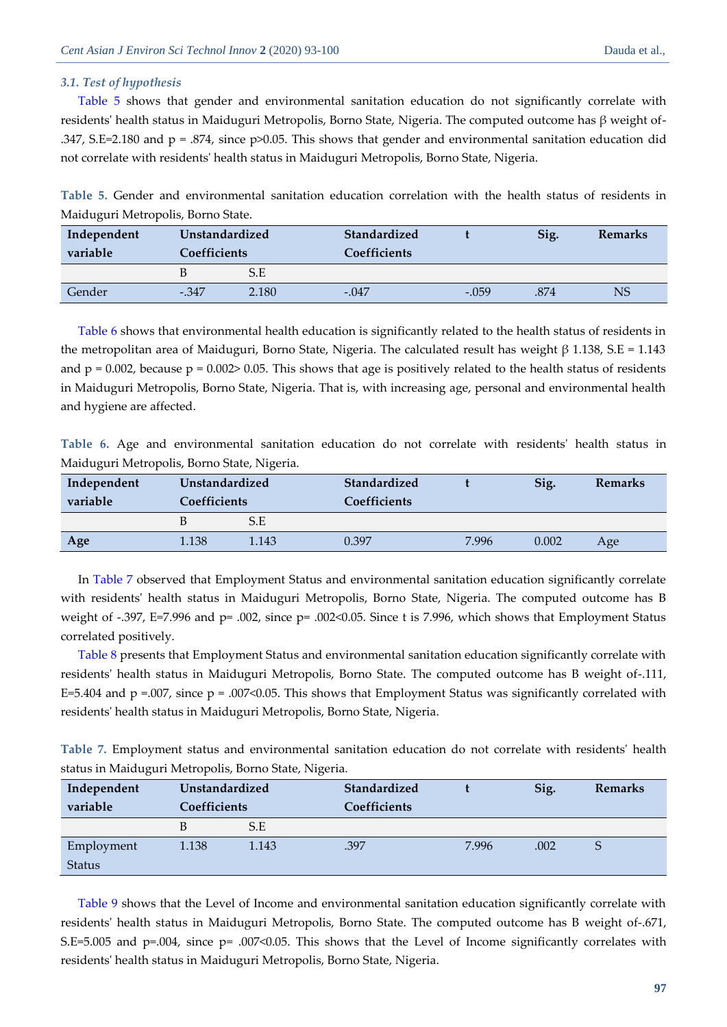## *3.1. Test of hypothesis*

<span id="page-4-0"></span>[Table 5](#page-4-0) shows that gender and environmental sanitation education do not significantly correlate with residents' health status in Maiduguri Metropolis, Borno State, Nigeria. The computed outcome has β weight of- .347, S.E=2.180 and p = .874, since p>0.05. This shows that gender and environmental sanitation education did not correlate with residents' health status in Maiduguri Metropolis, Borno State, Nigeria.

**Table 5.** Gender and environmental sanitation education correlation with the health status of residents in Maiduguri Metropolis, Borno State.

| Independent<br>variable | Unstandardized<br><b>Coefficients</b> |       | Standardized<br>Coefficients |         | Sig. | <b>Remarks</b> |
|-------------------------|---------------------------------------|-------|------------------------------|---------|------|----------------|
|                         |                                       | S.E   |                              |         |      |                |
| Gender                  | $-347$                                | 2.180 | $-.047$                      | $-.059$ | .874 | <b>NS</b>      |

[Table 6](#page-4-1) shows that environmental health education is significantly related to the health status of residents in the metropolitan area of Maiduguri, Borno State, Nigeria. The calculated result has weight β 1.138, S.E = 1.143 and  $p = 0.002$ , because  $p = 0.002$  > 0.05. This shows that age is positively related to the health status of residents in Maiduguri Metropolis, Borno State, Nigeria. That is, with increasing age, personal and environmental health and hygiene are affected.

<span id="page-4-1"></span>**Table 6.** Age and environmental sanitation education do not correlate with residents' health status in Maiduguri Metropolis, Borno State, Nigeria.

| Independent<br>variable | Unstandardized<br><b>Coefficients</b> |       | Standardized<br><b>Coefficients</b> |       | Sig.  | Remarks |
|-------------------------|---------------------------------------|-------|-------------------------------------|-------|-------|---------|
|                         |                                       | S.E   |                                     |       |       |         |
| Age                     | 1.138                                 | 1.143 | 0.397                               | 7.996 | 0.002 | Age     |

<span id="page-4-2"></span>In [Table 7](#page-4-2) observed that Employment Status and environmental sanitation education significantly correlate with residents' health status in Maiduguri Metropolis, Borno State, Nigeria. The computed outcome has B weight of -.397, E=7.996 and p= .002, since p= .002<0.05. Since t is 7.996, which shows that Employment Status correlated positively.

Table 8 presents that Employment Status and environmental sanitation education significantly correlate with residents' health status in Maiduguri Metropolis, Borno State. The computed outcome has B weight of-.111, E=5.404 and  $p = .007$ , since  $p = .007 \le 0.05$ . This shows that Employment Status was significantly correlated with residents' health status in Maiduguri Metropolis, Borno State, Nigeria.

**Table 7.** Employment status and environmental sanitation education do not correlate with residents' health status in Maiduguri Metropolis, Borno State, Nigeria.

| Independent   | Unstandardized      |       | Standardized        |       | Sig. | <b>Remarks</b> |
|---------------|---------------------|-------|---------------------|-------|------|----------------|
| variable      | <b>Coefficients</b> |       | <b>Coefficients</b> |       |      |                |
|               | B                   | S.E   |                     |       |      |                |
| Employment    | 1.138               | 1.143 | .397                | 7.996 | .002 | Ğ              |
| <b>Status</b> |                     |       |                     |       |      |                |

[Table 9](#page-5-0) shows that the Level of Income and environmental sanitation education significantly correlate with residents' health status in Maiduguri Metropolis, Borno State. The computed outcome has B weight of-.671, S.E=5.005 and p=.004, since p= .007<0.05. This shows that the Level of Income significantly correlates with residents' health status in Maiduguri Metropolis, Borno State, Nigeria.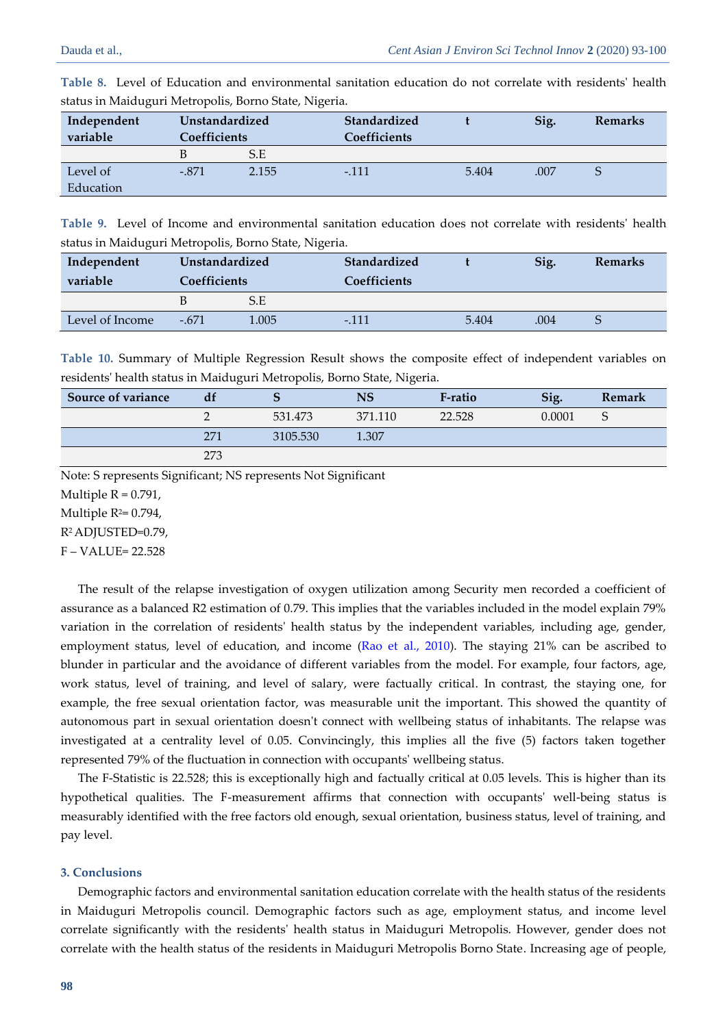| Independent<br>variable | Unstandardized<br>Coefficients |       | Standardized<br>Coefficients |       | Sig. | <b>Remarks</b> |
|-------------------------|--------------------------------|-------|------------------------------|-------|------|----------------|
|                         |                                | S.E   |                              |       |      |                |
| Level of                | $-.871$                        | 2.155 | $-.111$                      | 5.404 | .007 |                |
| Education               |                                |       |                              |       |      |                |

**Table 8.** Level of Education and environmental sanitation education do not correlate with residents' health status in Maiduguri Metropolis, Borno State, Nigeria.

<span id="page-5-0"></span>**Table 9.** Level of Income and environmental sanitation education does not correlate with residents' health status in Maiduguri Metropolis, Borno State, Nigeria.

| Independent     | Unstandardized      |       | Standardized        |       | Sig. | <b>Remarks</b> |
|-----------------|---------------------|-------|---------------------|-------|------|----------------|
| variable        | <b>Coefficients</b> |       | <b>Coefficients</b> |       |      |                |
|                 |                     | S.E   |                     |       |      |                |
| Level of Income | $-.671$             | 1.005 | $-.111$             | 5.404 | .004 |                |

**Table 10.** Summary of Multiple Regression Result shows the composite effect of independent variables on residents' health status in Maiduguri Metropolis, Borno State, Nigeria.

| Source of variance | df  |          | NS      | F-ratio | Sig.   | Remark |
|--------------------|-----|----------|---------|---------|--------|--------|
|                    |     | 531.473  | 371.110 | 22.528  | 0.0001 |        |
|                    | 271 | 3105.530 | 1.307   |         |        |        |
|                    | 273 |          |         |         |        |        |

Note: S represents Significant; NS represents Not Significant

Multiple  $R = 0.791$ ,

Multiple  $R^2=0.794$ ,

R2 ADJUSTED=0.79,

F – VALUE= 22.528

The result of the relapse investigation of oxygen utilization among Security men recorded a coefficient of assurance as a balanced R2 estimation of 0.79. This implies that the variables included in the model explain 79% variation in the correlation of residents' health status by the independent variables, including age, gender, employment status, level of education, and income [\(Rao et al., 2010\)](#page-6-12). The staying 21% can be ascribed to blunder in particular and the avoidance of different variables from the model. For example, four factors, age, work status, level of training, and level of salary, were factually critical. In contrast, the staying one, for example, the free sexual orientation factor, was measurable unit the important. This showed the quantity of autonomous part in sexual orientation doesn't connect with wellbeing status of inhabitants. The relapse was investigated at a centrality level of 0.05. Convincingly, this implies all the five (5) factors taken together represented 79% of the fluctuation in connection with occupants' wellbeing status.

The F-Statistic is 22.528; this is exceptionally high and factually critical at 0.05 levels. This is higher than its hypothetical qualities. The F-measurement affirms that connection with occupants' well-being status is measurably identified with the free factors old enough, sexual orientation, business status, level of training, and pay level.

## **3. Conclusions**

Demographic factors and environmental sanitation education correlate with the health status of the residents in Maiduguri Metropolis council. Demographic factors such as age, employment status, and income level correlate significantly with the residents' health status in Maiduguri Metropolis. However, gender does not correlate with the health status of the residents in Maiduguri Metropolis Borno State. Increasing age of people,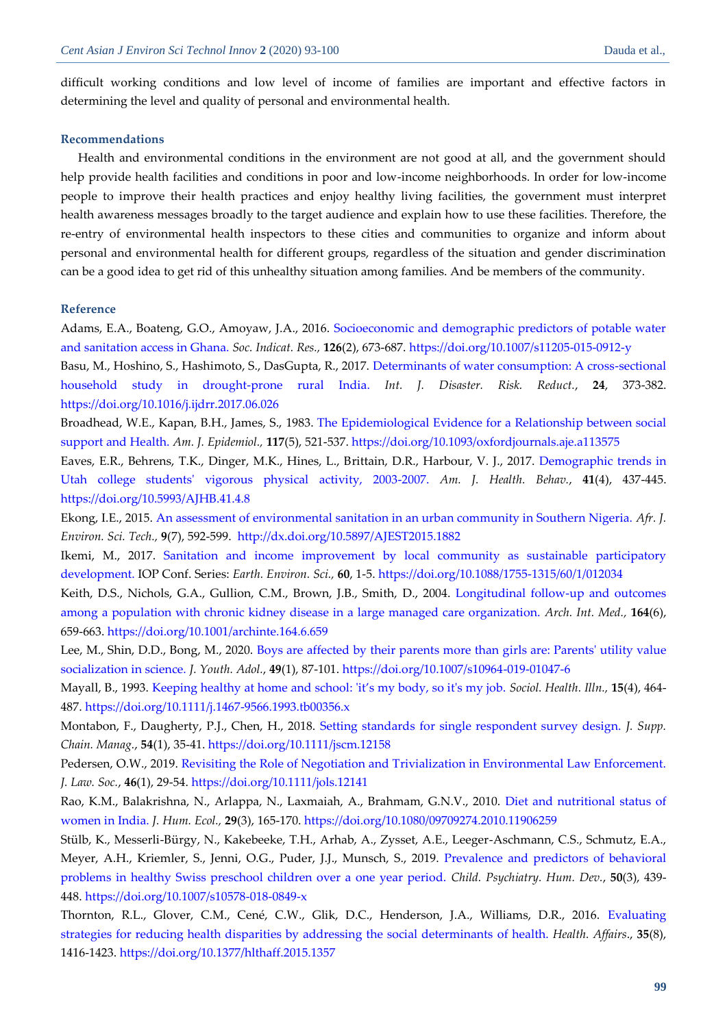difficult working conditions and low level of income of families are important and effective factors in determining the level and quality of personal and environmental health.

#### **Recommendations**

Health and environmental conditions in the environment are not good at all, and the government should help provide health facilities and conditions in poor and low-income neighborhoods. In order for low-income people to improve their health practices and enjoy healthy living facilities, the government must interpret health awareness messages broadly to the target audience and explain how to use these facilities. Therefore, the re-entry of environmental health inspectors to these cities and communities to organize and inform about personal and environmental health for different groups, regardless of the situation and gender discrimination can be a good idea to get rid of this unhealthy situation among families. And be members of the community.

## **Reference**

<span id="page-6-2"></span>Adams, E.A., Boateng, G.O., Amoyaw, J.A., 2016. [Socioeconomic and demographic predictors of potable water](https://freepaper.me/d/PDF/d9/d904bd3a1c86513adf0b5d240f2953a3.pdf?hash=Lkcy8BzHOaGZ3A8Ajo9BAQ&doi=10.1007/s11205-015-0912-y&title=&save=1%20%20%20%20%20%20%20%20%20%20%20%20%20%20%20%20style=)  [and sanitation access in Ghana.](https://freepaper.me/d/PDF/d9/d904bd3a1c86513adf0b5d240f2953a3.pdf?hash=Lkcy8BzHOaGZ3A8Ajo9BAQ&doi=10.1007/s11205-015-0912-y&title=&save=1%20%20%20%20%20%20%20%20%20%20%20%20%20%20%20%20style=) *Soc. Indicat. Res.,* **126**(2), 673-687. <https://doi.org/10.1007/s11205-015-0912-y>

<span id="page-6-5"></span>Basu, M., Hoshino, S., Hashimoto, S., DasGupta, R., 2017. [Determinants of water consumption: A cross-sectional](http://freepaper.me/PDF/?pdfURL=aHR0cHM6Ly9mcmVlcGFwZXIubWUvbi9JVi1UcjgyLTFWcjZpNGItNnRQdXFRL1BERi84Yy84Y2E4N2MwY2E2YzBjZGMwM2MxMWYxZjliY2MxMDY2MC5wZGY=&doi=10.1016/j.ijdrr.2017.06.026)  [household study in drought-prone rural India.](http://freepaper.me/PDF/?pdfURL=aHR0cHM6Ly9mcmVlcGFwZXIubWUvbi9JVi1UcjgyLTFWcjZpNGItNnRQdXFRL1BERi84Yy84Y2E4N2MwY2E2YzBjZGMwM2MxMWYxZjliY2MxMDY2MC5wZGY=&doi=10.1016/j.ijdrr.2017.06.026) *Int. J. Disaster. Risk. Reduct.*, **24**, 373-382. <https://doi.org/10.1016/j.ijdrr.2017.06.026>

<span id="page-6-8"></span>Broadhead, W.E., Kapan, B.H., James, S., 1983. [The Epidemiological Evidence for a Relationship between social](https://srv2.freepaper.me/n/ddsqumGyLs3rIlrVNWgAGA/PDF/ce/cec8b50c8f54525eb37520d270fcfe7e.pdf)  [support and Health.](https://srv2.freepaper.me/n/ddsqumGyLs3rIlrVNWgAGA/PDF/ce/cec8b50c8f54525eb37520d270fcfe7e.pdf) *Am. J. Epidemiol.,* **117**(5), 521-537. <https://doi.org/10.1093/oxfordjournals.aje.a113575>

<span id="page-6-0"></span>Eaves, E.R., Behrens, T.K., Dinger, M.K., Hines, L., Brittain, D.R., Harbour, V. J., 2017. [Demographic trends in](https://freepaper.me/PDF/a8/a81dfb7b4fdbe452f06bc18aaec3a8d7.pdf?hash=sPIPJyhyGlUBtahvBYKaQg&doi=10.5993/AJHB.41.4.8&hash2=aNOnGyvJINm5T4sQHZHkZQ)  [Utah college students' vigorous physical activity, 2003-2007.](https://freepaper.me/PDF/a8/a81dfb7b4fdbe452f06bc18aaec3a8d7.pdf?hash=sPIPJyhyGlUBtahvBYKaQg&doi=10.5993/AJHB.41.4.8&hash2=aNOnGyvJINm5T4sQHZHkZQ) *Am. J. Health. Behav.*, **41**(4), 437-445. <https://doi.org/10.5993/AJHB.41.4.8>

<span id="page-6-4"></span>Ekong, I.E., 2015. [An assessment of environmental sanitation in an urban community in Southern Nigeria.](https://www.ajol.info/index.php/ajest/article/download/121911/111387) *Afr. J. Environ. Sci. Tech.,* **9**(7), 592-599.<http://dx.doi.org/10.5897/AJEST2015.1882>

<span id="page-6-7"></span>Ikemi, M., 2017. [Sanitation and income improvement by local community as sustainable participatory](https://iopscience.iop.org/article/10.1088/1755-1315/60/1/012034/pdf)  [development.](https://iopscience.iop.org/article/10.1088/1755-1315/60/1/012034/pdf) IOP Conf. Series: *Earth. Environ. Sci.,* **60**, 1-5. <https://doi.org/10.1088/1755-1315/60/1/012034>

<span id="page-6-10"></span>Keith, D.S., Nichols, G.A., Gullion, C.M., Brown, J.B., Smith, D., 2004. [Longitudinal follow-up and outcomes](http://zero.sci-hub.tw/3914/4ff17cb45ee9b5ee5a0a3a30fbf93e8c/keith2004.pdf#view=FitH)  [among a population with chronic kidney disease in a large managed care organization.](http://zero.sci-hub.tw/3914/4ff17cb45ee9b5ee5a0a3a30fbf93e8c/keith2004.pdf#view=FitH) *Arch. Int. Med.,* **164**(6), 659-663.<https://doi.org/10.1001/archinte.164.6.659>

<span id="page-6-3"></span>Lee, M., Shin, D.D., Bong, M., 2020. [Boys are affected by their parents more than girls are: Parents' utility value](http://freepaper.me/PDF/?pdfURL=aHR0cDovL2RhY2VtaXJyb3Iuc2NpLWh1Yi50dy9qb3VybmFsLWFydGljbGUvMDVmOTk2MWYxZjBhOGI3MjkxMzk1NWVlOTJiZjllYWQvbGVlMjAxOS5wZGYjdmlldz1GaXRI&doi=10.1007/s10964-019-01047-6)  [socialization in science.](http://freepaper.me/PDF/?pdfURL=aHR0cDovL2RhY2VtaXJyb3Iuc2NpLWh1Yi50dy9qb3VybmFsLWFydGljbGUvMDVmOTk2MWYxZjBhOGI3MjkxMzk1NWVlOTJiZjllYWQvbGVlMjAxOS5wZGYjdmlldz1GaXRI&doi=10.1007/s10964-019-01047-6) *J. Youth. Adol.*, **49**(1), 87-101. <https://doi.org/10.1007/s10964-019-01047-6>

<span id="page-6-6"></span>Mayall, B., 1993. [Keeping healthy at home and school: 'it's my body, so it's my job.](https://freepaper.me/PDF/96/96c339504160506a2406968f10363fc1.pdf?hash=qxlfR2hyC1lAFI7VuLWi0Q&doi=10.1111/j.1467-9566.1993.tb00356.x&hash2=Tz5XU798IJknx2_XtjSG_g) *Sociol. Health. Illn.,* **15**(4), 464- 487. <https://doi.org/10.1111/j.1467-9566.1993.tb00356.x>

<span id="page-6-9"></span>Montabon, F., Daugherty, P.J., Chen, H., 2018. [Setting standards for single respondent survey design.](http://freepaper.me/PDF/?pdfURL=aHR0cHM6Ly90d2luLnNjaS1odWIudHcvNjU4NC9lYTRmNzZhZjhlYTcyN2QwNmMyMTY2NzZlNmU0MGQ3My9tb250YWJvbjIwMTcucGRmI3ZpZXc9Rml0SA==&doi=10.1111/jscm.12158) *J. Supp. Chain. Manag.*, **54**(1), 35-41. <https://doi.org/10.1111/jscm.12158>

<span id="page-6-1"></span>Pedersen, O.W., 2019. [Revisiting the Role of Negotiation and Trivialization in Environmental Law Enforcement.](https://onlinelibrary.wiley.com/doi/pdfdirect/10.1111/jols.12141) *J. Law. Soc.*, **46**(1), 29-54. <https://doi.org/10.1111/jols.12141>

<span id="page-6-12"></span>Rao, K.M., Balakrishna, N., Arlappa, N., Laxmaiah, A., Brahmam, G.N.V., 2010. [Diet and nutritional status of](https://freepaper.me/PDF/dc/dc6b5bc12cd696de556128b4f9995381.pdf?hash=Wp_RTtnmJ1scm94IeeSw_g&doi=10.1080/09709274.2010.11906259&hash2=_5E4cLAezjlmUhC8zt3S9g)  [women in India.](https://freepaper.me/PDF/dc/dc6b5bc12cd696de556128b4f9995381.pdf?hash=Wp_RTtnmJ1scm94IeeSw_g&doi=10.1080/09709274.2010.11906259&hash2=_5E4cLAezjlmUhC8zt3S9g) *J. Hum. Ecol.,* **29**(3), 165-170. <https://doi.org/10.1080/09709274.2010.11906259>

<span id="page-6-11"></span>Stülb, K., Messerli-Bürgy, N., Kakebeeke, T.H., Arhab, A., Zysset, A.E., Leeger-Aschmann, C.S., Schmutz, E.A., Meyer, A.H., Kriemler, S., Jenni, O.G., Puder, J.J., Munsch, S., 2019. [Prevalence and predictors of behavioral](https://www.zora.uzh.ch/id/eprint/161703/1/PaperBehavioralProb_3rdrevision_KS3_20181008.pdf)  [problems in healthy Swiss preschool children over a one year period.](https://www.zora.uzh.ch/id/eprint/161703/1/PaperBehavioralProb_3rdrevision_KS3_20181008.pdf) *Child. Psychiatry. Hum. Dev.*, **50**(3), 439- 448. <https://doi.org/10.1007/s10578-018-0849-x>

Thornton, R.L., Glover, C.M., Cené, C.W., Glik, D.C., Henderson, J.A., Williams, D.R., 2016. [Evaluating](https://www.healthaffairs.org/doi/pdf/10.1377/hlthaff.2015.1357)  [strategies for reducing health disparities by addressing the social determinants](https://www.healthaffairs.org/doi/pdf/10.1377/hlthaff.2015.1357) of health. *Health. Affairs*., **35**(8), 1416-1423. <https://doi.org/10.1377/hlthaff.2015.1357>